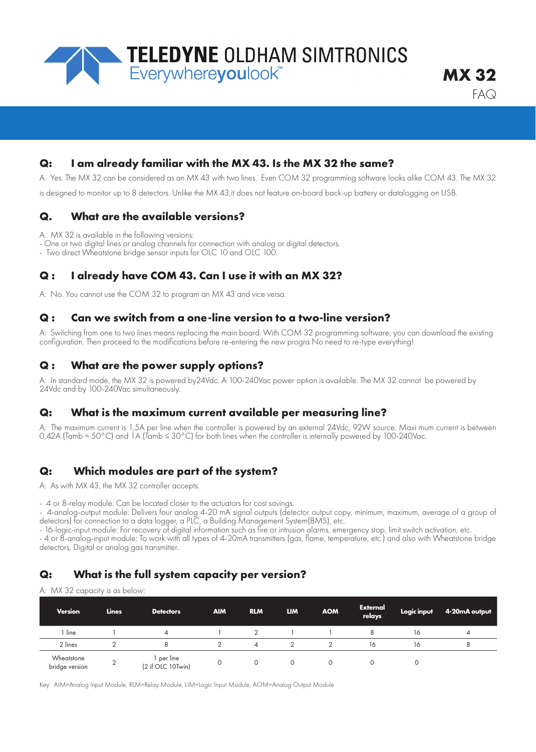

### **Q: I am already familiar with the MX 43. Is the MX 32 the same?**

A. Yes. The MX 32 can be considered as an MX 43 with two lines. Even COM 32 programming software looks alike COM 43. The MX 32

is designed to monitor up to 8 detectors. Unlike the MX 43,it does not feature on-board back-up battery or datalogging on USB.

## **Q. What are the available versions?**

A. MX 32 is available in the following versions:

- One or two digital lines or analog channels for connection with analog or digital detectors.

- Two direct Wheatstone bridge sensor inputs for OLC 10 and OLC 100.

### **Q : I already have COM 43. Can I use it with an MX 32?**

A: No. You cannot use the COM 32 to program an MX 43 and vice versa.

### **Q : Can we switch from a one-line version to a two-line version?**

A: Switching from one to two lines means replacing the main board. With COM 32 programming software, you can download the existing configuration. Then proceed to the modifications before re-entering the new progra No need to re-type everything!

### **Q : What are the power supply options?**

A: In standard mode, the MX 32 is powered by24Vdc. A 100-240Vac power option is available. The MX 32 cannot be powered by 24Vdc and by 100-240Vac simultaneously.

### **Q: What is the maximum current available per measuring line?**

A: The maximum current is 1,5A per line when the controller is powered by an external 24Vdc, 92W source. Maxi mum current is between 0,42A (Tamb = 50°C) and 1A (Tamb ≤ 30°C) for both lines when the controller is internally powered by 100-240Vac.

# **Q: Which modules are part of the system?**

A: As with MX 43, the MX 32 controller accepts:

- 4 or 8-relay module: Can be located closer to the actuators for cost savings.

- 4-analog-output module: Delivers four analog 4-20 mA signal outputs (detector output copy, minimum, maximum, average of a group of detectors) for connection to a data logger, a PLC, a Building Management System(BMS), etc.

- 16-logic-input module: For recovery of digital information such as fire or intrusion alarms, emergency stop, limit switch activation, etc. - 4 or 8-analog-input module: To work with all types of 4-20mA transmitters (gas, flame, temperature, etc.) and also with Wheatstone bridge detectors, Digital or analog gas transmitter.

# **Q: What is the full system capacity per version?**

A: MX 32 capacity is as below:

| <b>Version</b>               | <b>Lines</b> | <b>Detectors</b>              | <b>AIM</b> | <b>RLM</b> | <b>LIM</b> | <b>AOM</b> | <b>External</b><br>relays | Logic input | 4-20mA output |
|------------------------------|--------------|-------------------------------|------------|------------|------------|------------|---------------------------|-------------|---------------|
| line                         |              | $\overline{A}$                |            |            |            |            |                           | 16          | 4             |
| 2 lines                      |              |                               |            | 4          |            |            | 16                        | 16          | ŏ             |
| Wheatstone<br>bridge version |              | per line<br>(2 if OLC 10Twin) |            |            | $\Omega$   |            |                           |             |               |

Key: AIM=Analog Input Module, RLM=Relay Module, LIM=Logic Input Module, AOM=Analog Output Module